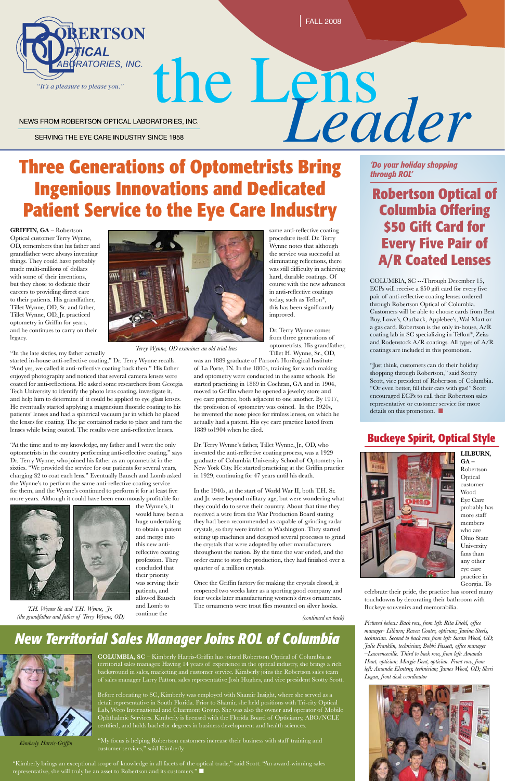**LILBURN, GA –** Robertson Optical customer Wood Eye Care probably has more staff members who are Ohio State University fans than any other eye care practice in Georgia. To

celebrate their pride, the practice has scored many touchdowns by decorating their bathroom with Buckeye souvenirs and memorabilia.

**GRIFFIN, GA** – Robertson Optical customer Terry Wynne, OD, remembers that his father and grandfather were always inventing things. They could have probably made multi-millions of dollars with some of their inventions, but they chose to dedicate their careers to providing direct care to their patients. His grandfather, Tillet Wynne, OD, Sr. and father, Tillet Wynne, OD, Jr. practiced optometry in Griffin for years, and he continues to carry on their legacy.

"In the late sixties, my father actually

started in-house anti-reflective coating," Dr. Terry Wynne recalls. "And yes, we called it anti-reflective coating back then." His father enjoyed photography and noticed that several camera lenses were coated for anti-reflections. He asked some researchers from Georgia Tech University to identify the photo lens coating, investigate it, and help him to determine if it could be applied to eye glass lenses. He eventually started applying a magnesium fluoride coating to his patients' lenses and had a spherical vacuum jar in which he placed the lenses for coating. The jar contained racks to place and turn the lenses while being coated. The results were anti-reflective lenses.

"Kimberly brings an exceptional scope of knowledge in all facets of the optical trade," said Scott. "An award-winning sales representative, she will truly be an asset to Robertson and its customers."



"At the time and to my knowledge, my father and I were the only optometrists in the country performing anti-reflective coating," says Dr. Terry Wynne, who joined his father as an optometrist in the sixties. "We provided the service for our patients for several years, charging \$2 to coat each lens." Eventually Bausch and Lomb asked the Wynne's to perform the same anti-reflective coating service for them, and the Wynne's continued to perform it for at least five more years. Although it could have been enormously profitable for



"Just think, customers can do their holiday shopping through Robertson," said Scotty Scott, vice president of Robertson of Columbia. "Or even better, fill their cars with gas!" Scott encouraged ECPs to call their Robertson sales representative or customer service for more details on this promotion.  $\blacksquare$ 

the Wynne's, it would have been a huge undertaking to obtain a patent and merge into this new antireflective coating profession. They concluded that their priority was serving their patients, and allowed Bausch

and Lomb to continue the

# **Ingenious Innovations and Dedicated Patient Service to the Eye Care Industry**

*(continued on back)*



# **THEORY ABORATORIES, INC.**<br>
NEWS FROM ROBERTSON OPTICAL LABORATORIES, INC.<br>
Three Generations of Optometrists Bring **Po**your holiday shopping

NEWS FROM ROBERTSON OPTICAL LABORATORIES, INC.

SERVING THE EYE CARE INDUSTRY SINCE 1958

# *New Territorial Sales Manager Joins ROL of Columbia*

**COLUMBIA, SC** – Kimberly Harris-Griffin has joined Robertson Optical of Columbia as territorial sales manager. Having 14 years of experience in the optical industry, she brings a rich background in sales, marketing and customer service. Kimberly joins the Robertson sales team of sales manager Larry Patton, sales representative Josh Hughes, and vice president Scotty Scott.

Before relocating to SC, Kimberly was employed with Shamir Insight, where she served as a detail representative in South Florida. Prior to Shamir, she held positions with Tri-city Optical Lab, Weco International and Charmont Group. She was also the owner and operator of Mobile Ophthalmic Services. Kimberly is licensed with the Florida Board of Opticianry, ABO/NCLE certified, and holds bachelor degrees in business development and health sciences.

"My focus is helping Robertson customers increase their business with staff training and customer services," said Kimberly.

*'Do your holiday shopping through ROL'*

# **Robertson Optical of Columbia Offering \$50 Gift Card for Every Five Pair of A/R Coated Lenses**

COLUMBIA, SC ---Through December 15, ECPs will receive a \$50 gift card for every five pair of anti-reflective coating lenses ordered through Robertson Optical of Columbia. Customers will be able to choose cards from Best Buy, Lowe's, Outback, Applebee's, Wal-Mart or a gas card. Robertson is the only in-house, A/R coating lab in SC specializing in Teflon®, Zeiss and Rodenstock A/R coatings. All types of A/R coatings are included in this promotion.

same anti-reflective coating procedure itself. Dr. Terry Wynne notes that although the service was successful at eliminating reflections, there was still difficulty in achieving hard, durable coatings. Of course with the new advances in anti-reflective coatings today, such as Teflon®, this has been significantly improved.

Dr. Terry Wynne comes from three generations of optometrists. His grandfather, Tillet H. Wynne, Sr., OD,

was an 1889 graduate of Parson's Horilogical Institute of La Porte, IN. In the 1800s, training for watch making and optometry were conducted in the same schools. He started practicing in 1889 in Cochran, GA and in 1904, moved to Griffin where he opened a jewelry store and eye care practice, both adjacent to one another. By 1917, the profession of optometry was coined. In the 1920s, he invented the nose piece for rimless lenses, on which he actually had a patent. His eye care practice lasted from 1889 to1904 when he died.

Dr. Terry Wynne's father, Tillet Wynne, Jr., OD, who invented the anti-reflective coating process, was a 1929 graduate of Columbia University School of Optometry in New York City. He started practicing at the Griffin practice in 1929, continuing for 47 years until his death.

In the 1940s, at the start of World War II, both T.H. Sr. and Jr. were beyond military age, but were wondering what they could do to serve their country. About that time they received a wire from the War Production Board stating they had been recommended as capable of grinding radar crystals, so they were invited to Washington. They started setting up machines and designed several processes to grind the crystals that were adopted by other manufacturers throughout the nation. By the time the war ended, and the order came to stop the production, they had finished over a quarter of a million crystals.

Once the Griffin factory for making the crystals closed, it reopened two weeks later as a sporting good company and four weeks later manufacturing women's dress ornaments. The ornaments were trout flies mounted on silver hooks.



*Kimberly Harris-Griffin*

# **Buckeye Spirit, Optical Style**



*Pictured below: Back row, from left: Rita Diehl, office manager- Lilburn; Raven Coates, optician; Janina Steels, technician. Second to back row from left: Susan Wood, OD; Julie Franklin, technician; Bobbi Fassett, office manager –Lawrenceville. Third to back row, from left: Amanda Hunt, optician; Margie Dent, optician. Front row, from left: Amanda Elenteny, technician; James Wood, OD; Sheri Logan, front desk coordinator*



*T.H. Wynne Sr. and T.H. Wynne, Jr. (the grandfather and father of Terry Wynne, OD)*



*Terry Wynne, OD examines an old trial lens*